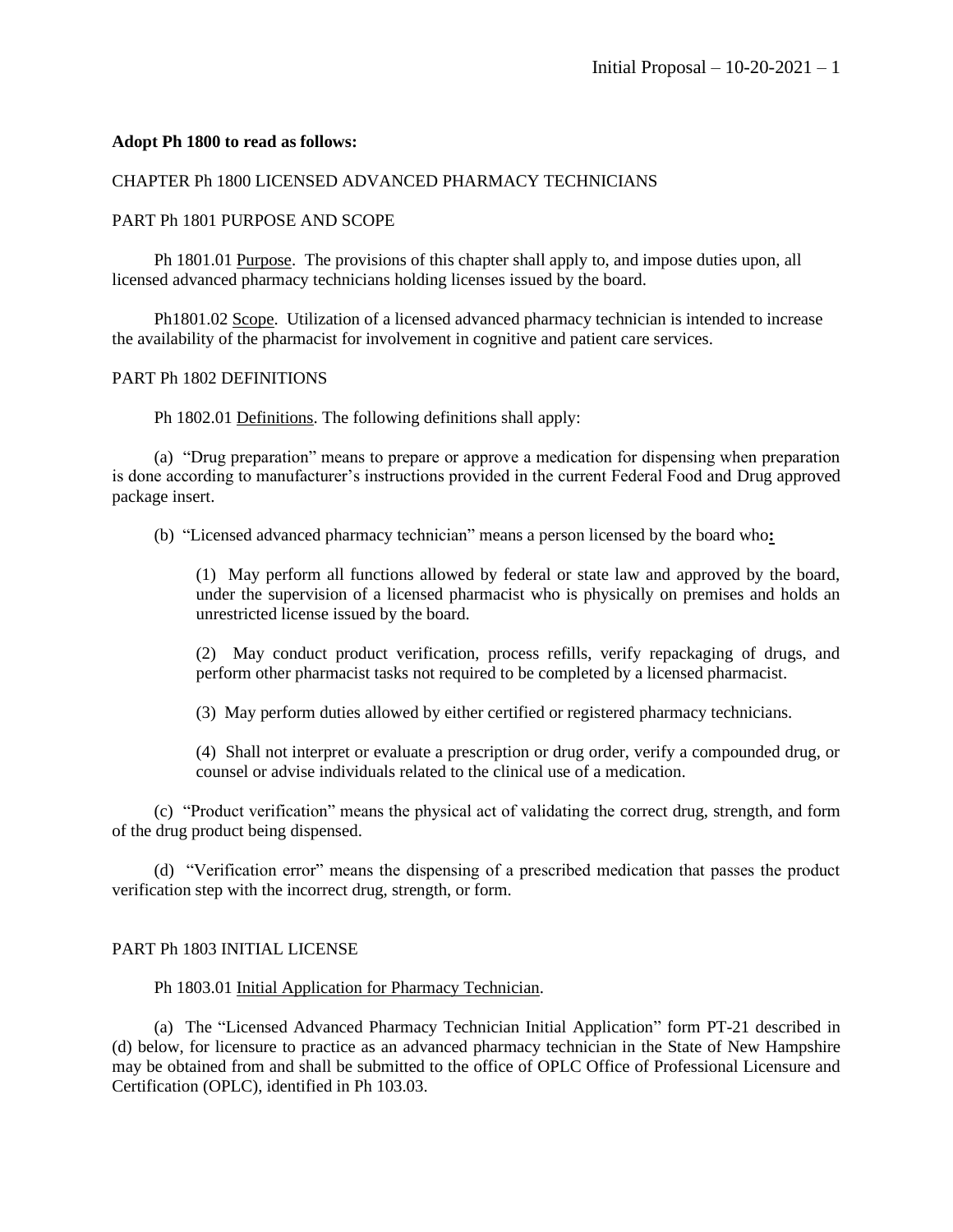# **Adopt Ph 1800 to read as follows:**

# CHAPTER Ph 1800 LICENSED ADVANCED PHARMACY TECHNICIANS

# PART Ph 1801 PURPOSE AND SCOPE

Ph 1801.01 Purpose. The provisions of this chapter shall apply to, and impose duties upon, all licensed advanced pharmacy technicians holding licenses issued by the board.

Ph1801.02 Scope. Utilization of a licensed advanced pharmacy technician is intended to increase the availability of the pharmacist for involvement in cognitive and patient care services.

## PART Ph 1802 DEFINITIONS

Ph 1802.01 Definitions. The following definitions shall apply:

(a) "Drug preparation" means to prepare or approve a medication for dispensing when preparation is done according to manufacturer's instructions provided in the current Federal Food and Drug approved package insert.

(b) "Licensed advanced pharmacy technician" means a person licensed by the board who**:**

(1) May perform all functions allowed by federal or state law and approved by the board, under the supervision of a licensed pharmacist who is physically on premises and holds an unrestricted license issued by the board.

(2) May conduct product verification, process refills, verify repackaging of drugs, and perform other pharmacist tasks not required to be completed by a licensed pharmacist.

(3) May perform duties allowed by either certified or registered pharmacy technicians.

(4) Shall not interpret or evaluate a prescription or drug order, verify a compounded drug, or counsel or advise individuals related to the clinical use of a medication.

(c) "Product verification" means the physical act of validating the correct drug, strength, and form of the drug product being dispensed.

(d) "Verification error" means the dispensing of a prescribed medication that passes the product verification step with the incorrect drug, strength, or form.

# PART Ph 1803 INITIAL LICENSE

## Ph 1803.01 Initial Application for Pharmacy Technician.

(a) The "Licensed Advanced Pharmacy Technician Initial Application" form PT-21 described in (d) below, for licensure to practice as an advanced pharmacy technician in the State of New Hampshire may be obtained from and shall be submitted to the office of OPLC Office of Professional Licensure and Certification (OPLC), identified in Ph 103.03.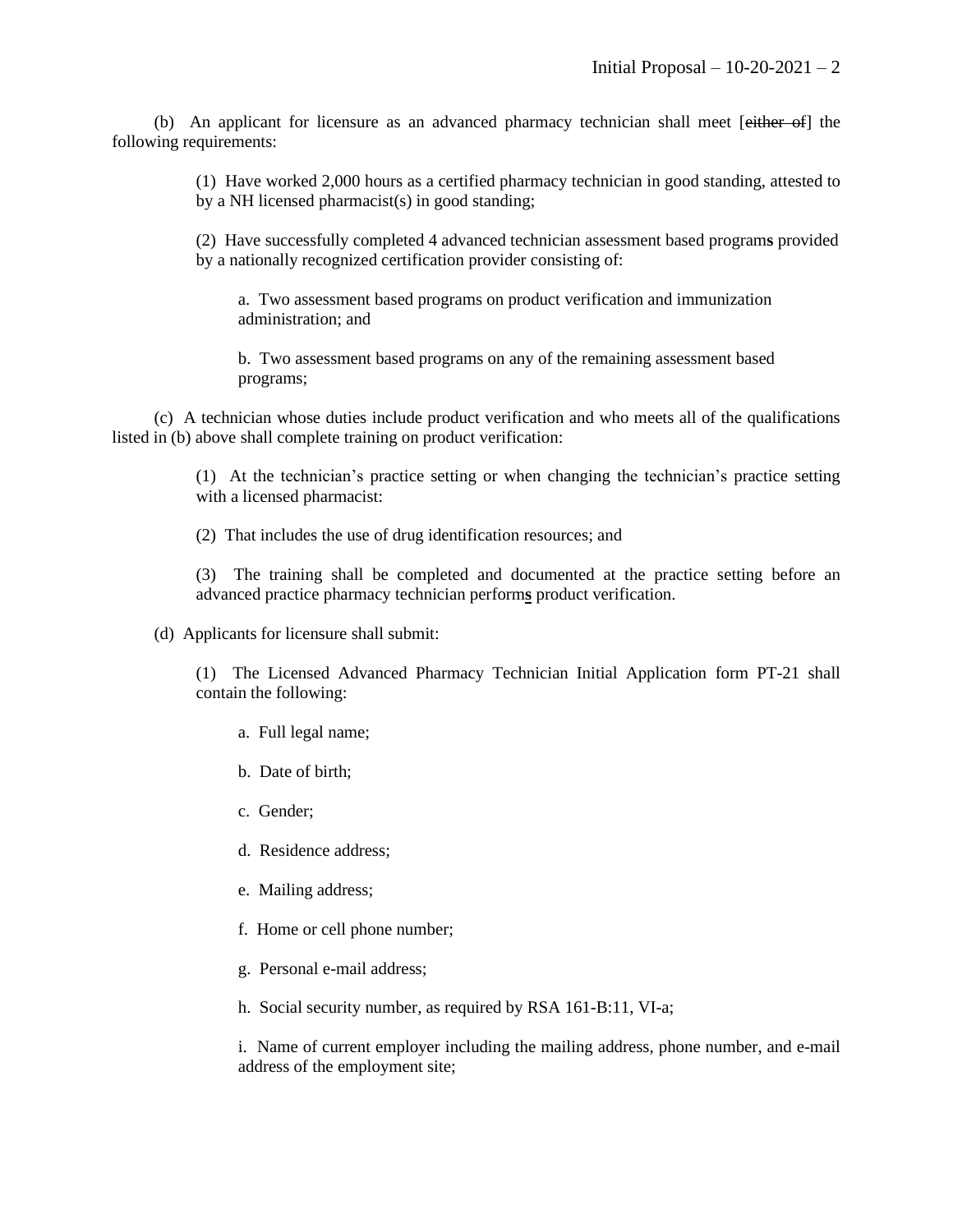(b) An applicant for licensure as an advanced pharmacy technician shall meet [either of] the following requirements:

> (1) Have worked 2,000 hours as a certified pharmacy technician in good standing, attested to by a NH licensed pharmacist(s) in good standing;

> (2) Have successfully completed 4 advanced technician assessment based program**s** provided by a nationally recognized certification provider consisting of:

a. Two assessment based programs on product verification and immunization administration; and

b. Two assessment based programs on any of the remaining assessment based programs;

(c) A technician whose duties include product verification and who meets all of the qualifications listed in (b) above shall complete training on product verification:

> (1) At the technician's practice setting or when changing the technician's practice setting with a licensed pharmacist:

(2) That includes the use of drug identification resources; and

(3) The training shall be completed and documented at the practice setting before an advanced practice pharmacy technician perform**s** product verification.

(d) Applicants for licensure shall submit:

(1) The Licensed Advanced Pharmacy Technician Initial Application form PT-21 shall contain the following:

- a. Full legal name;
- b. Date of birth;
- c. Gender;
- d. Residence address;
- e. Mailing address;
- f. Home or cell phone number;
- g. Personal e-mail address;
- h. Social security number, as required by RSA 161-B:11, VI-a;

i. Name of current employer including the mailing address, phone number, and e-mail address of the employment site;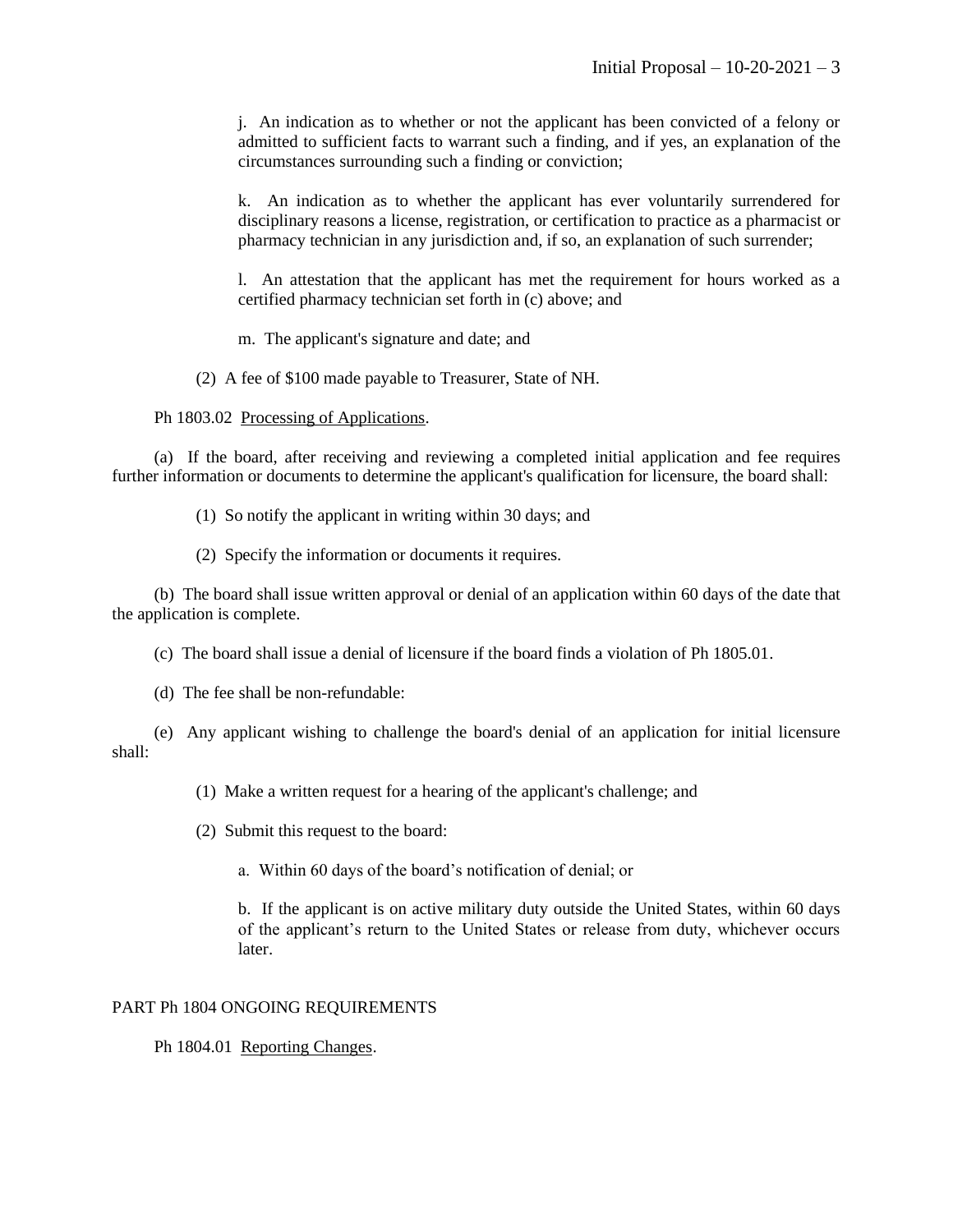j. An indication as to whether or not the applicant has been convicted of a felony or admitted to sufficient facts to warrant such a finding, and if yes, an explanation of the circumstances surrounding such a finding or conviction;

k. An indication as to whether the applicant has ever voluntarily surrendered for disciplinary reasons a license, registration, or certification to practice as a pharmacist or pharmacy technician in any jurisdiction and, if so, an explanation of such surrender;

l. An attestation that the applicant has met the requirement for hours worked as a certified pharmacy technician set forth in (c) above; and

m. The applicant's signature and date; and

(2) A fee of \$100 made payable to Treasurer, State of NH.

Ph 1803.02 Processing of Applications.

(a) If the board, after receiving and reviewing a completed initial application and fee requires further information or documents to determine the applicant's qualification for licensure, the board shall:

(1) So notify the applicant in writing within 30 days; and

(2) Specify the information or documents it requires.

(b) The board shall issue written approval or denial of an application within 60 days of the date that the application is complete.

(c) The board shall issue a denial of licensure if the board finds a violation of Ph 1805.01.

(d) The fee shall be non-refundable:

(e) Any applicant wishing to challenge the board's denial of an application for initial licensure shall:

(1) Make a written request for a hearing of the applicant's challenge; and

(2) Submit this request to the board:

a. Within 60 days of the board's notification of denial; or

b. If the applicant is on active military duty outside the United States, within 60 days of the applicant's return to the United States or release from duty, whichever occurs later.

## PART Ph 1804 ONGOING REQUIREMENTS

Ph 1804.01 Reporting Changes.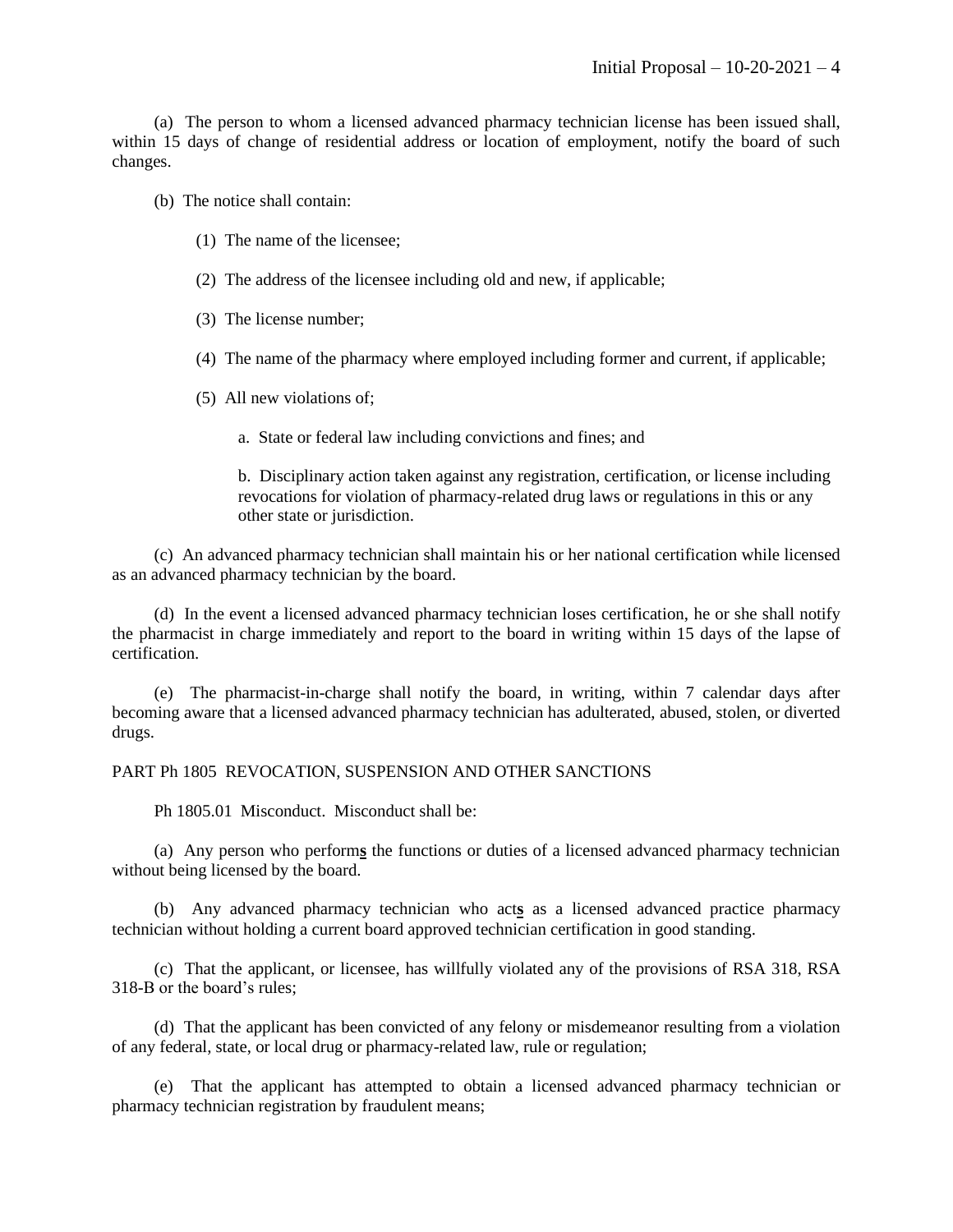(a) The person to whom a licensed advanced pharmacy technician license has been issued shall, within 15 days of change of residential address or location of employment, notify the board of such changes.

(b) The notice shall contain:

- (1) The name of the licensee;
- (2) The address of the licensee including old and new, if applicable;
- (3) The license number;
- (4) The name of the pharmacy where employed including former and current, if applicable;
- (5) All new violations of;
	- a. State or federal law including convictions and fines; and

b. Disciplinary action taken against any registration, certification, or license including revocations for violation of pharmacy-related drug laws or regulations in this or any other state or jurisdiction.

(c) An advanced pharmacy technician shall maintain his or her national certification while licensed as an advanced pharmacy technician by the board.

(d) In the event a licensed advanced pharmacy technician loses certification, he or she shall notify the pharmacist in charge immediately and report to the board in writing within 15 days of the lapse of certification.

(e) The pharmacist-in-charge shall notify the board, in writing, within 7 calendar days after becoming aware that a licensed advanced pharmacy technician has adulterated, abused, stolen, or diverted drugs.

#### PART Ph 1805 REVOCATION, SUSPENSION AND OTHER SANCTIONS

Ph 1805.01 Misconduct. Misconduct shall be:

(a) Any person who perform**s** the functions or duties of a licensed advanced pharmacy technician without being licensed by the board.

(b) Any advanced pharmacy technician who act**s** as a licensed advanced practice pharmacy technician without holding a current board approved technician certification in good standing.

(c) That the applicant, or licensee, has willfully violated any of the provisions of RSA 318, RSA 318-B or the board's rules;

(d) That the applicant has been convicted of any felony or misdemeanor resulting from a violation of any federal, state, or local drug or pharmacy-related law, rule or regulation;

(e) That the applicant has attempted to obtain a licensed advanced pharmacy technician or pharmacy technician registration by fraudulent means;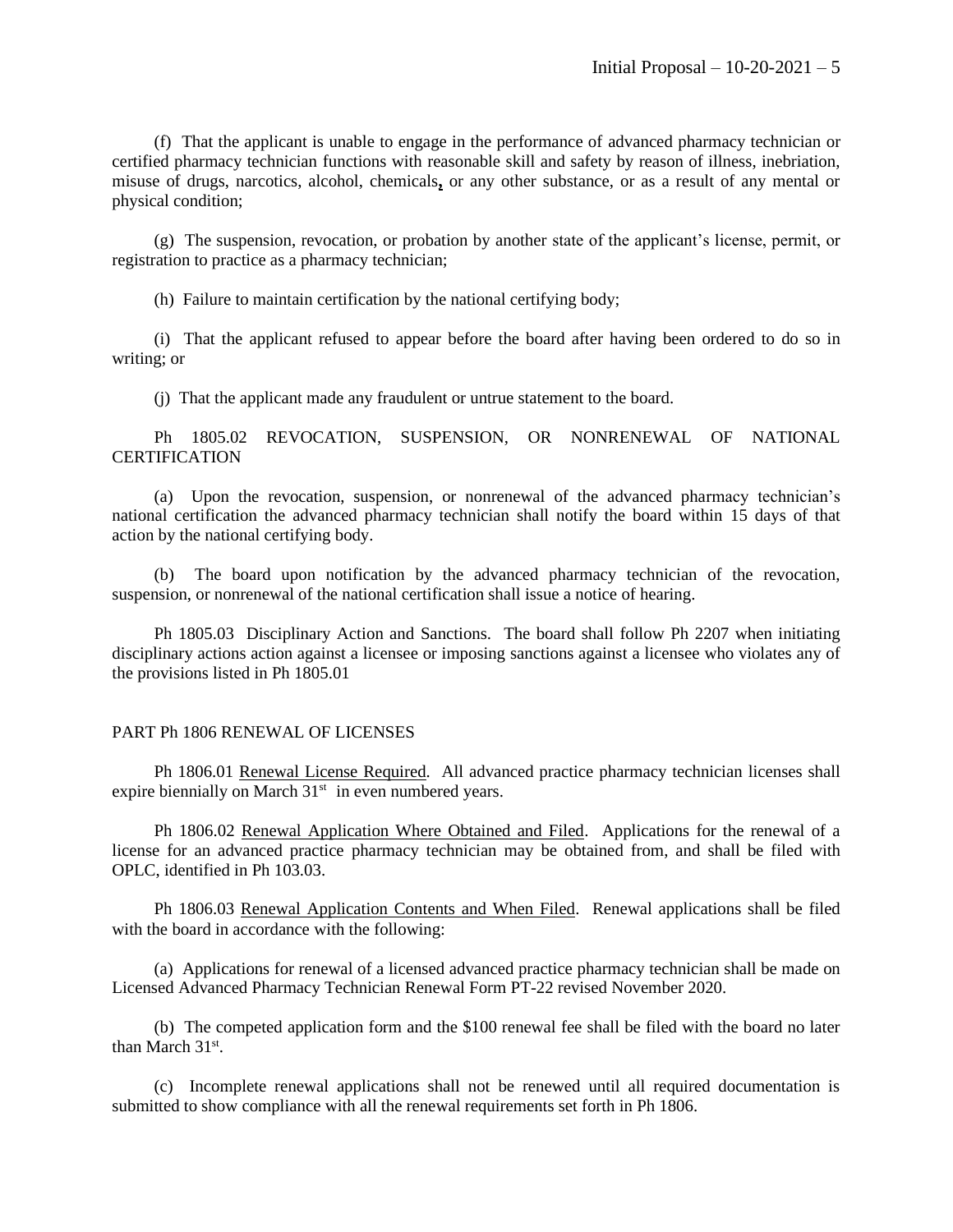(f) That the applicant is unable to engage in the performance of advanced pharmacy technician or certified pharmacy technician functions with reasonable skill and safety by reason of illness, inebriation, misuse of drugs, narcotics, alcohol, chemicals**,** or any other substance, or as a result of any mental or physical condition;

(g) The suspension, revocation, or probation by another state of the applicant's license, permit, or registration to practice as a pharmacy technician;

(h) Failure to maintain certification by the national certifying body;

(i) That the applicant refused to appear before the board after having been ordered to do so in writing; or

(j) That the applicant made any fraudulent or untrue statement to the board.

Ph 1805.02 REVOCATION, SUSPENSION, OR NONRENEWAL OF NATIONAL **CERTIFICATION** 

(a) Upon the revocation, suspension, or nonrenewal of the advanced pharmacy technician's national certification the advanced pharmacy technician shall notify the board within 15 days of that action by the national certifying body.

(b) The board upon notification by the advanced pharmacy technician of the revocation, suspension, or nonrenewal of the national certification shall issue a notice of hearing.

Ph 1805.03 Disciplinary Action and Sanctions. The board shall follow Ph 2207 when initiating disciplinary actions action against a licensee or imposing sanctions against a licensee who violates any of the provisions listed in Ph 1805.01

#### PART Ph 1806 RENEWAL OF LICENSES

Ph 1806.01 Renewal License Required. All advanced practice pharmacy technician licenses shall expire biennially on March  $31<sup>st</sup>$  in even numbered years.

Ph 1806.02 Renewal Application Where Obtained and Filed. Applications for the renewal of a license for an advanced practice pharmacy technician may be obtained from, and shall be filed with OPLC, identified in Ph 103.03.

Ph 1806.03 Renewal Application Contents and When Filed. Renewal applications shall be filed with the board in accordance with the following:

(a) Applications for renewal of a licensed advanced practice pharmacy technician shall be made on Licensed Advanced Pharmacy Technician Renewal Form PT-22 revised November 2020.

(b) The competed application form and the \$100 renewal fee shall be filed with the board no later than March 31<sup>st</sup>.

(c) Incomplete renewal applications shall not be renewed until all required documentation is submitted to show compliance with all the renewal requirements set forth in Ph 1806.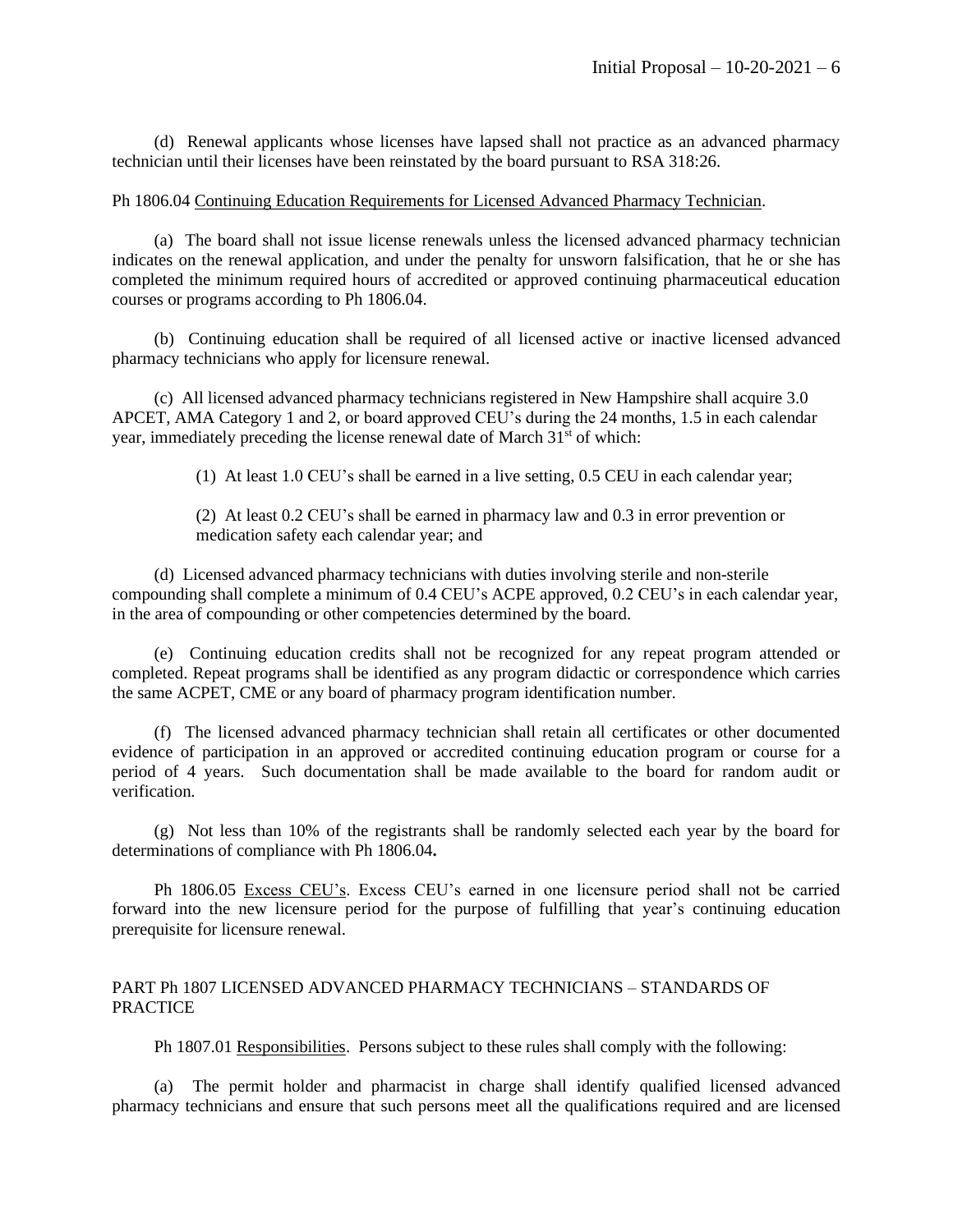(d) Renewal applicants whose licenses have lapsed shall not practice as an advanced pharmacy technician until their licenses have been reinstated by the board pursuant to RSA 318:26.

# Ph 1806.04 Continuing Education Requirements for Licensed Advanced Pharmacy Technician.

(a) The board shall not issue license renewals unless the licensed advanced pharmacy technician indicates on the renewal application, and under the penalty for unsworn falsification, that he or she has completed the minimum required hours of accredited or approved continuing pharmaceutical education courses or programs according to Ph 1806.04.

(b) Continuing education shall be required of all licensed active or inactive licensed advanced pharmacy technicians who apply for licensure renewal.

(c) All licensed advanced pharmacy technicians registered in New Hampshire shall acquire 3.0 APCET, AMA Category 1 and 2, or board approved CEU's during the 24 months, 1.5 in each calendar year, immediately preceding the license renewal date of March 31<sup>st</sup> of which:

(1) At least 1.0 CEU's shall be earned in a live setting, 0.5 CEU in each calendar year;

(2) At least 0.2 CEU's shall be earned in pharmacy law and 0.3 in error prevention or medication safety each calendar year; and

(d) Licensed advanced pharmacy technicians with duties involving sterile and non-sterile compounding shall complete a minimum of 0.4 CEU's ACPE approved, 0.2 CEU's in each calendar year, in the area of compounding or other competencies determined by the board.

(e) Continuing education credits shall not be recognized for any repeat program attended or completed. Repeat programs shall be identified as any program didactic or correspondence which carries the same ACPET, CME or any board of pharmacy program identification number.

(f) The licensed advanced pharmacy technician shall retain all certificates or other documented evidence of participation in an approved or accredited continuing education program or course for a period of 4 years. Such documentation shall be made available to the board for random audit or verification.

(g) Not less than 10% of the registrants shall be randomly selected each year by the board for determinations of compliance with Ph 1806.04**.**

Ph 1806.05 Excess CEU's. Excess CEU's earned in one licensure period shall not be carried forward into the new licensure period for the purpose of fulfilling that year's continuing education prerequisite for licensure renewal.

# PART Ph 1807 LICENSED ADVANCED PHARMACY TECHNICIANS – STANDARDS OF PRACTICE

Ph 1807.01 Responsibilities. Persons subject to these rules shall comply with the following:

(a) The permit holder and pharmacist in charge shall identify qualified licensed advanced pharmacy technicians and ensure that such persons meet all the qualifications required and are licensed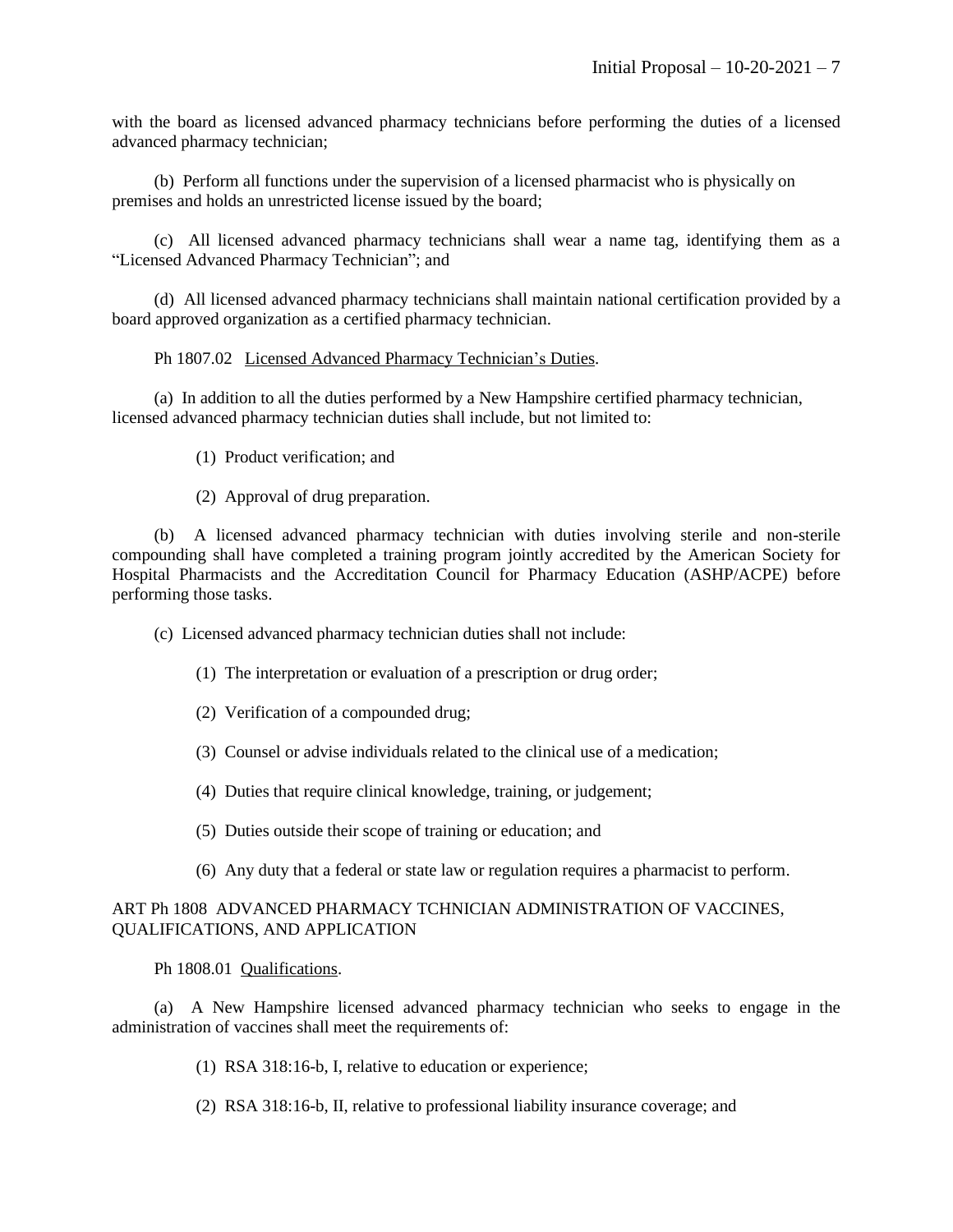with the board as licensed advanced pharmacy technicians before performing the duties of a licensed advanced pharmacy technician;

(b) Perform all functions under the supervision of a licensed pharmacist who is physically on premises and holds an unrestricted license issued by the board;

(c) All licensed advanced pharmacy technicians shall wear a name tag, identifying them as a "Licensed Advanced Pharmacy Technician"; and

(d) All licensed advanced pharmacy technicians shall maintain national certification provided by a board approved organization as a certified pharmacy technician.

Ph 1807.02 Licensed Advanced Pharmacy Technician's Duties.

(a) In addition to all the duties performed by a New Hampshire certified pharmacy technician, licensed advanced pharmacy technician duties shall include, but not limited to:

(1) Product verification; and

(2) Approval of drug preparation.

(b) A licensed advanced pharmacy technician with duties involving sterile and non-sterile compounding shall have completed a training program jointly accredited by the American Society for Hospital Pharmacists and the Accreditation Council for Pharmacy Education (ASHP/ACPE) before performing those tasks.

(c) Licensed advanced pharmacy technician duties shall not include:

- (1) The interpretation or evaluation of a prescription or drug order;
- (2) Verification of a compounded drug;
- (3) Counsel or advise individuals related to the clinical use of a medication;
- (4) Duties that require clinical knowledge, training, or judgement;
- (5) Duties outside their scope of training or education; and
- (6) Any duty that a federal or state law or regulation requires a pharmacist to perform.

# ART Ph 1808 ADVANCED PHARMACY TCHNICIAN ADMINISTRATION OF VACCINES, QUALIFICATIONS, AND APPLICATION

Ph 1808.01 Qualifications.

(a) A New Hampshire licensed advanced pharmacy technician who seeks to engage in the administration of vaccines shall meet the requirements of:

(1) RSA 318:16-b, I, relative to education or experience;

(2) RSA 318:16-b, II, relative to professional liability insurance coverage; and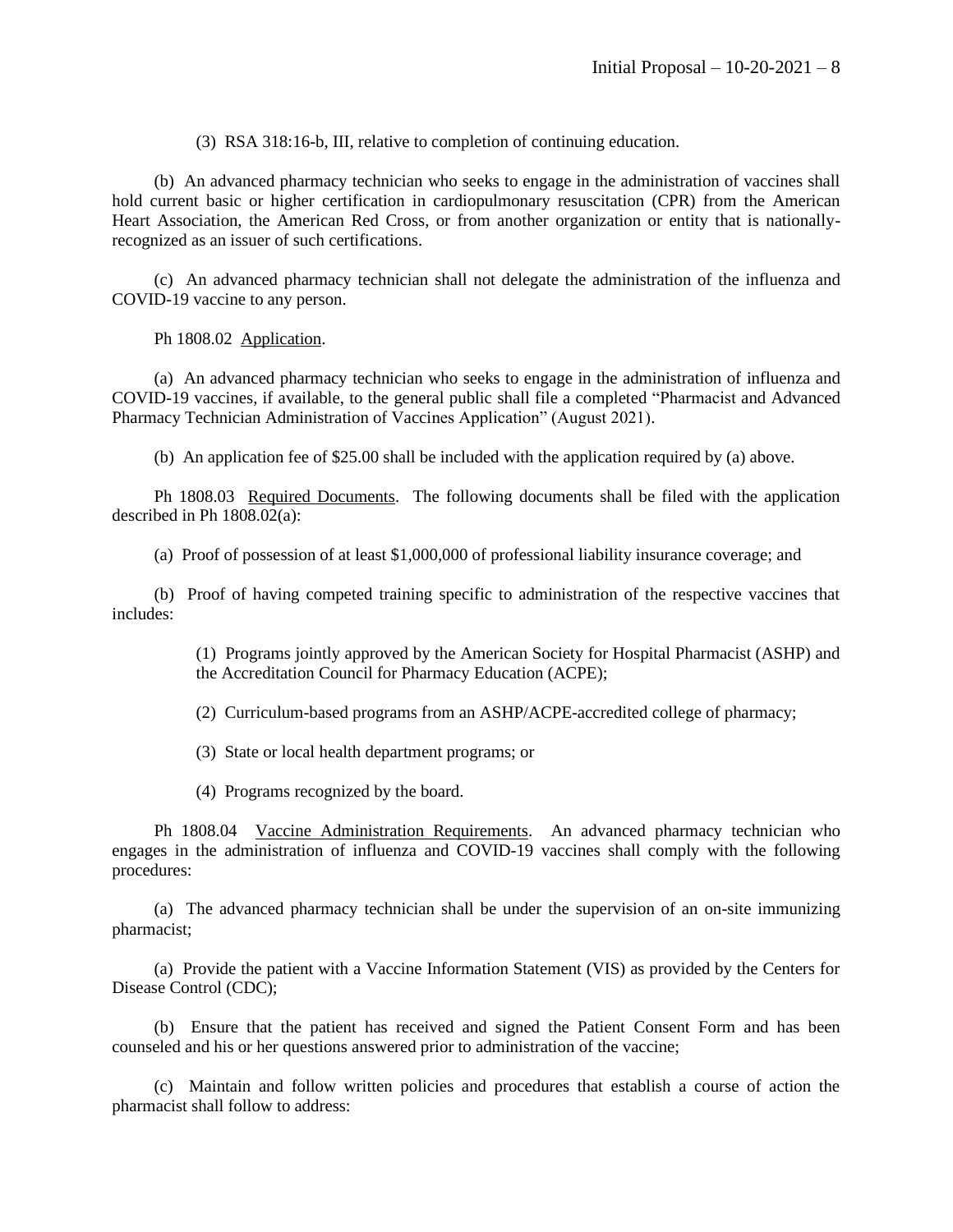(3) RSA 318:16-b, III, relative to completion of continuing education.

(b) An advanced pharmacy technician who seeks to engage in the administration of vaccines shall hold current basic or higher certification in cardiopulmonary resuscitation (CPR) from the American Heart Association, the American Red Cross, or from another organization or entity that is nationallyrecognized as an issuer of such certifications.

(c) An advanced pharmacy technician shall not delegate the administration of the influenza and COVID-19 vaccine to any person.

Ph 1808.02 Application.

(a) An advanced pharmacy technician who seeks to engage in the administration of influenza and COVID-19 vaccines, if available, to the general public shall file a completed "Pharmacist and Advanced Pharmacy Technician Administration of Vaccines Application" (August 2021).

(b) An application fee of \$25.00 shall be included with the application required by (a) above.

Ph 1808.03 Required Documents. The following documents shall be filed with the application described in Ph 1808.02(a):

(a) Proof of possession of at least \$1,000,000 of professional liability insurance coverage; and

(b) Proof of having competed training specific to administration of the respective vaccines that includes:

> (1) Programs jointly approved by the American Society for Hospital Pharmacist (ASHP) and the Accreditation Council for Pharmacy Education (ACPE);

(2) Curriculum-based programs from an ASHP/ACPE-accredited college of pharmacy;

(3) State or local health department programs; or

(4) Programs recognized by the board.

Ph 1808.04 Vaccine Administration Requirements. An advanced pharmacy technician who engages in the administration of influenza and COVID-19 vaccines shall comply with the following procedures:

(a) The advanced pharmacy technician shall be under the supervision of an on-site immunizing pharmacist;

(a) Provide the patient with a Vaccine Information Statement (VIS) as provided by the Centers for Disease Control (CDC);

(b) Ensure that the patient has received and signed the Patient Consent Form and has been counseled and his or her questions answered prior to administration of the vaccine;

(c) Maintain and follow written policies and procedures that establish a course of action the pharmacist shall follow to address: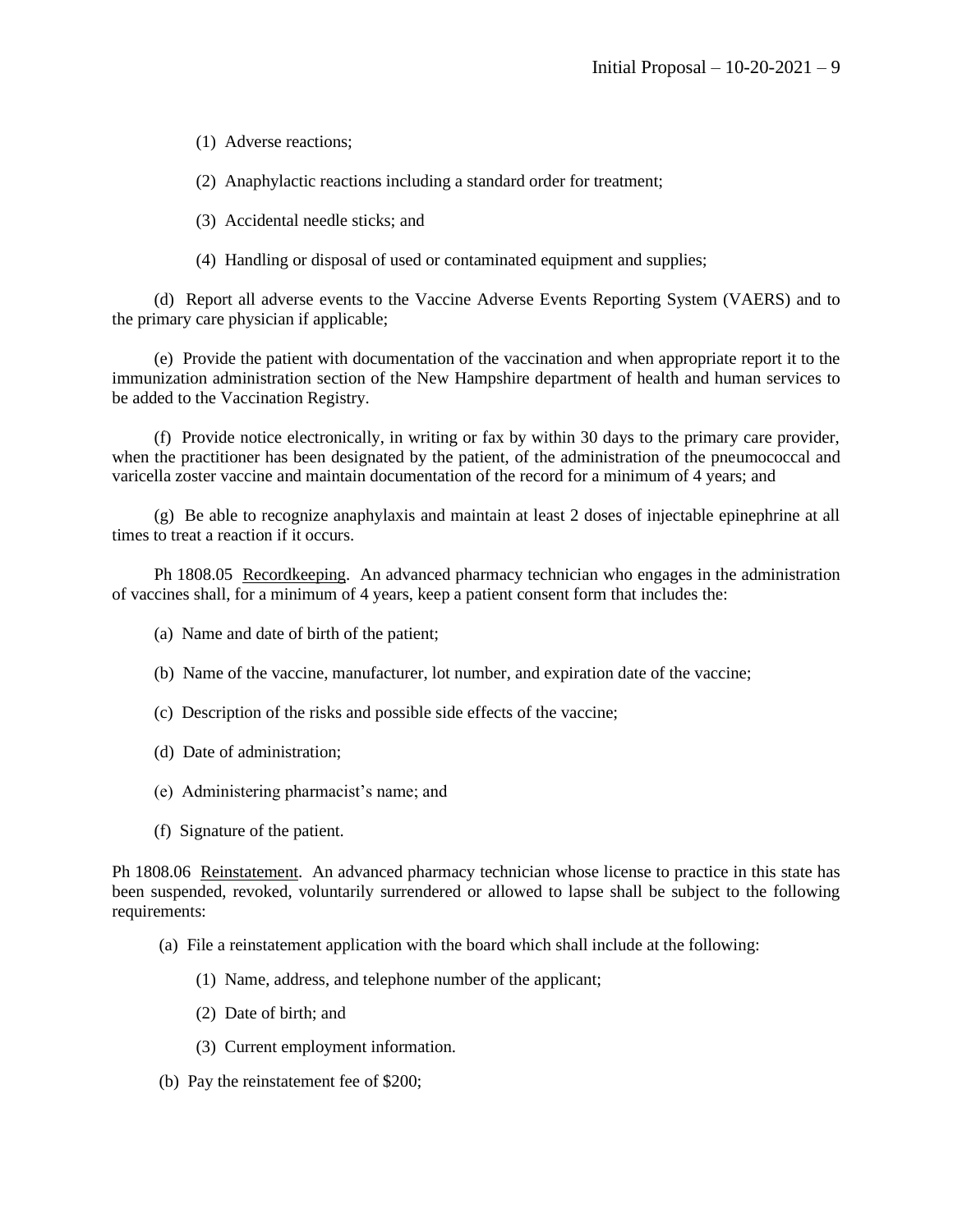(1) Adverse reactions;

(2) Anaphylactic reactions including a standard order for treatment;

(3) Accidental needle sticks; and

(4) Handling or disposal of used or contaminated equipment and supplies;

(d) Report all adverse events to the Vaccine Adverse Events Reporting System (VAERS) and to the primary care physician if applicable;

(e) Provide the patient with documentation of the vaccination and when appropriate report it to the immunization administration section of the New Hampshire department of health and human services to be added to the Vaccination Registry.

(f) Provide notice electronically, in writing or fax by within 30 days to the primary care provider, when the practitioner has been designated by the patient, of the administration of the pneumococcal and varicella zoster vaccine and maintain documentation of the record for a minimum of 4 years; and

(g) Be able to recognize anaphylaxis and maintain at least 2 doses of injectable epinephrine at all times to treat a reaction if it occurs.

Ph 1808.05 Recordkeeping. An advanced pharmacy technician who engages in the administration of vaccines shall, for a minimum of 4 years, keep a patient consent form that includes the:

- (a) Name and date of birth of the patient;
- (b) Name of the vaccine, manufacturer, lot number, and expiration date of the vaccine;
- (c) Description of the risks and possible side effects of the vaccine;
- (d) Date of administration;
- (e) Administering pharmacist's name; and
- (f) Signature of the patient.

Ph 1808.06 Reinstatement. An advanced pharmacy technician whose license to practice in this state has been suspended, revoked, voluntarily surrendered or allowed to lapse shall be subject to the following requirements:

- (a) File a reinstatement application with the board which shall include at the following:
	- (1) Name, address, and telephone number of the applicant;
	- (2) Date of birth; and
	- (3) Current employment information.
- (b) Pay the reinstatement fee of \$200;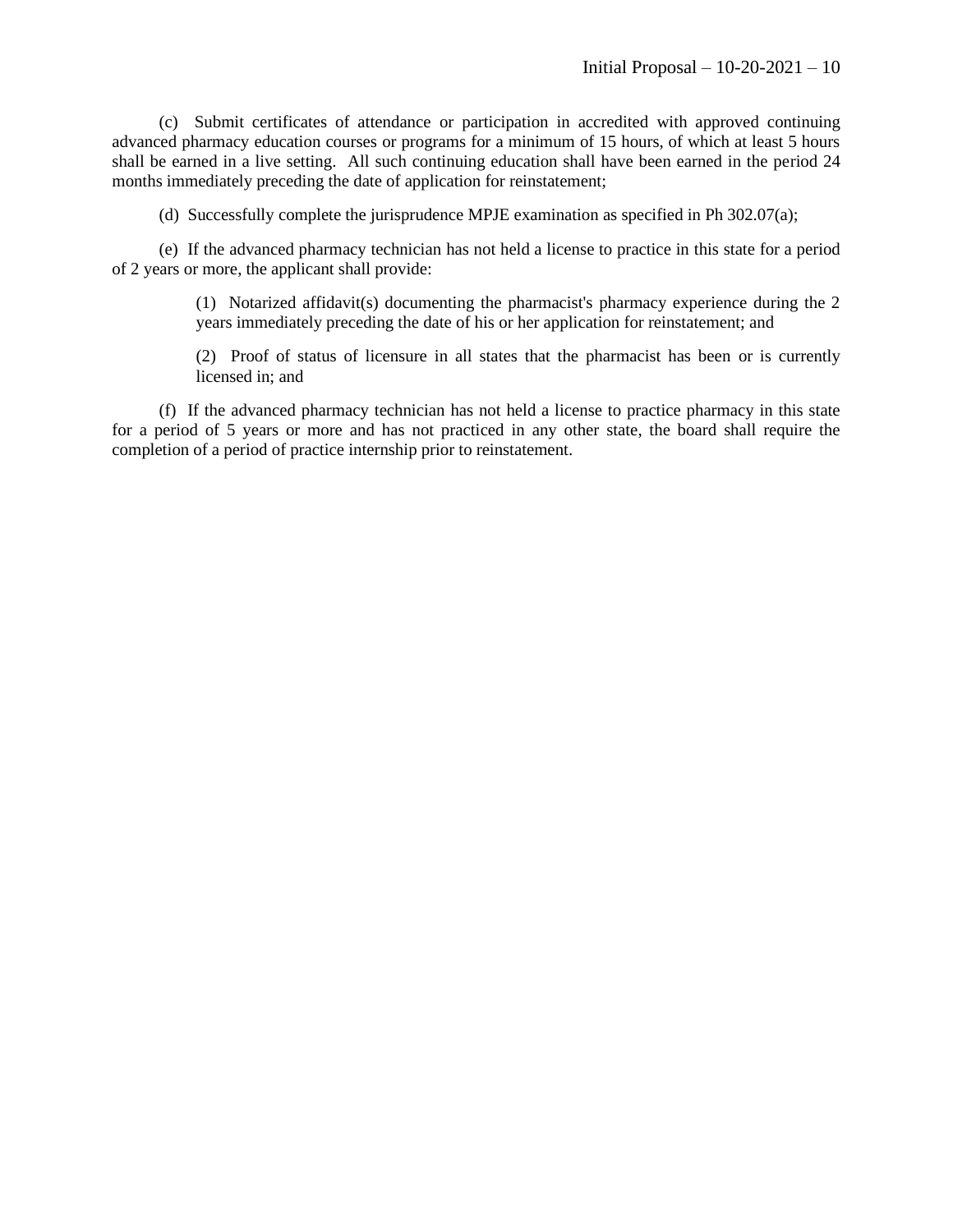(c) Submit certificates of attendance or participation in accredited with approved continuing advanced pharmacy education courses or programs for a minimum of 15 hours, of which at least 5 hours shall be earned in a live setting. All such continuing education shall have been earned in the period 24 months immediately preceding the date of application for reinstatement;

(d) Successfully complete the jurisprudence MPJE examination as specified in Ph 302.07(a);

(e) If the advanced pharmacy technician has not held a license to practice in this state for a period of 2 years or more, the applicant shall provide:

> (1) Notarized affidavit(s) documenting the pharmacist's pharmacy experience during the 2 years immediately preceding the date of his or her application for reinstatement; and

> (2) Proof of status of licensure in all states that the pharmacist has been or is currently licensed in; and

(f) If the advanced pharmacy technician has not held a license to practice pharmacy in this state for a period of 5 years or more and has not practiced in any other state, the board shall require the completion of a period of practice internship prior to reinstatement.